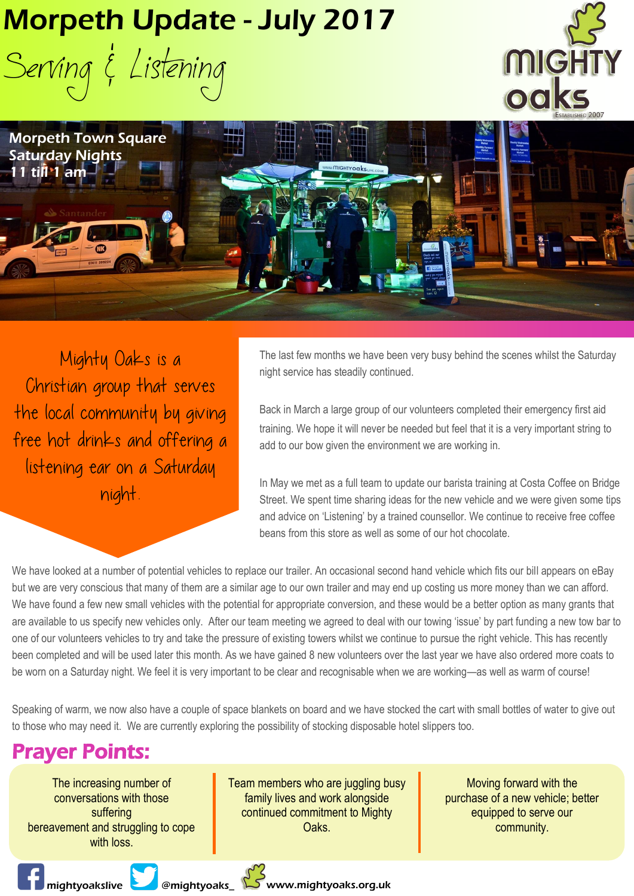## Morpeth Update - July 2017

Serving & Listening





Mighty Oaks is a Christian group that serves the local community by giving free hot drinks and offering a listening ear on a Saturday night.

The last few months we have been very busy behind the scenes whilst the Saturday night service has steadily continued.

Back in March a large group of our volunteers completed their emergency first aid training. We hope it will never be needed but feel that it is a very important string to add to our bow given the environment we are working in.

In May we met as a full team to update our barista training at Costa Coffee on Bridge Street. We spent time sharing ideas for the new vehicle and we were given some tips and advice on 'Listening' by a trained counsellor. We continue to receive free coffee beans from this store as well as some of our hot chocolate.

We have looked at a number of potential vehicles to replace our trailer. An occasional second hand vehicle which fits our bill appears on eBay but we are very conscious that many of them are a similar age to our own trailer and may end up costing us more money than we can afford. We have found a few new small vehicles with the potential for appropriate conversion, and these would be a better option as many grants that are available to us specify new vehicles only. After our team meeting we agreed to deal with our towing 'issue' by part funding a new tow bar to one of our volunteers vehicles to try and take the pressure of existing towers whilst we continue to pursue the right vehicle. This has recently been completed and will be used later this month. As we have gained 8 new volunteers over the last year we have also ordered more coats to be worn on a Saturday night. We feel it is very important to be clear and recognisable when we are working—as well as warm of course!

Speaking of warm, we now also have a couple of space blankets on board and we have stocked the cart with small bottles of water to give out to those who may need it. We are currently exploring the possibility of stocking disposable hotel slippers too.

## Prayer Points:

The increasing number of conversations with those suffering bereavement and struggling to cope with loss.

Team members who are juggling busy family lives and work alongside continued commitment to Mighty Oaks.

Moving forward with the purchase of a new vehicle; better equipped to serve our community.

**Mightyoakslive & Memightyoaks\_ WWW.mightyoaks.org.uk**